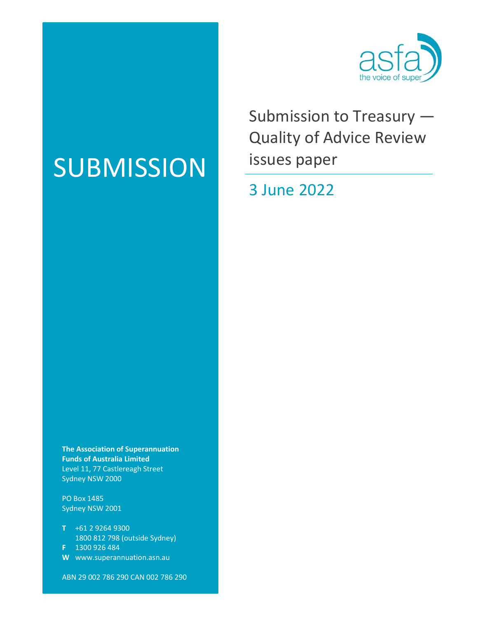

Submission to Treasury — Quality of Advice Review issues paper

## 3 June 2022

# SUBMISSION

The Association of Superannuation Funds of Australia Limited Level 11, 77 Castlereagh Street Sydney NSW 2000

PO Box 1485 Sydney NSW 2001

- T +61 2 9264 9300 1800 812 798 (outside Sydney) F 1300 926 484
- W www.superannuation.asn.au

ABN 29 002 786 290 CAN 002 786 290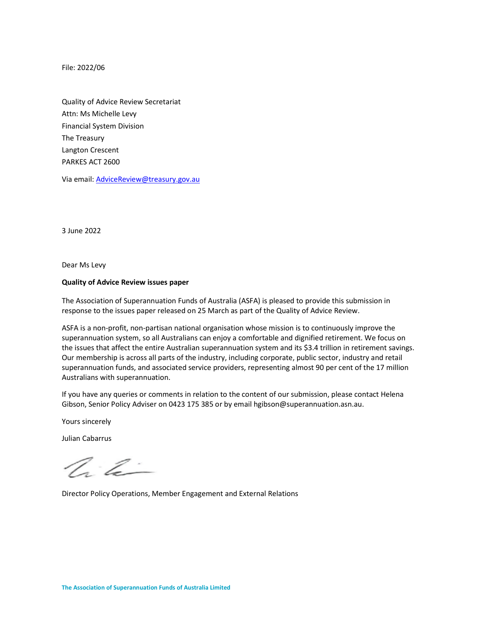File: 2022/06

Quality of Advice Review Secretariat Attn: Ms Michelle Levy Financial System Division The Treasury Langton Crescent PARKES ACT 2600

Via email: <u>AdviceReview@treasury.gov.au</u><br>3 June 2022

Dear Ms Levy

#### Quality of Advice Review issues paper

The Association of Superannuation Funds of Australia (ASFA) is pleased to provide this submission in response to the issues paper released on 25 March as part of the Quality of Advice Review.

ASFA is a non-profit, non-partisan national organisation whose mission is to continuously improve the superannuation system, so all Australians can enjoy a comfortable and dignified retirement. We focus on the issues that affect the entire Australian superannuation system and its \$3.4 trillion in retirement savings. Our membership is across all parts of the industry, including corporate, public sector, industry and retail superannuation funds, and associated service providers, representing almost 90 per cent of the 17 million Australians with superannuation.

If you have any queries or comments in relation to the content of our submission, please contact Helena Gibson, Senior Policy Adviser on 0423 175 385 or by email hgibson@superannuation.asn.au.

Yours sincerely

Julian Cabarrus

 $\mathbb{Z}^2$ 

Director Policy Operations, Member Engagement and External Relations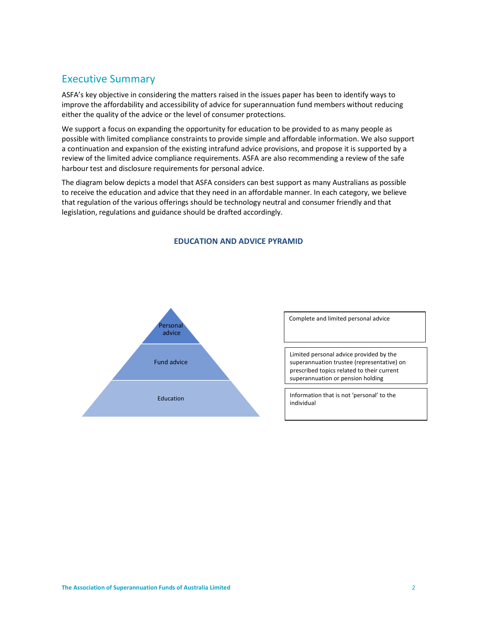## Executive Summary

ASFA's key objective in considering the matters raised in the issues paper has been to identify ways to improve the affordability and accessibility of advice for superannuation fund members without reducing either the quality of the advice or the level of consumer protections.

We support a focus on expanding the opportunity for education to be provided to as many people as possible with limited compliance constraints to provide simple and affordable information. We also support a continuation and expansion of the existing intrafund advice provisions, and propose it is supported by a review of the limited advice compliance requirements. ASFA are also recommending a review of the safe harbour test and disclosure requirements for personal advice.

The diagram below depicts a model that ASFA considers can best support as many Australians as possible to receive the education and advice that they need in an affordable manner. In each category, we believe that regulation of the various offerings should be technology neutral and consumer friendly and that legislation, regulations and guidance should be drafted accordingly.



#### EDUCATION AND ADVICE PYRAMID

Complete and limited personal advice

Limited personal advice provided by the superannuation trustee (representative) on prescribed topics related to their current superannuation or pension holding

individual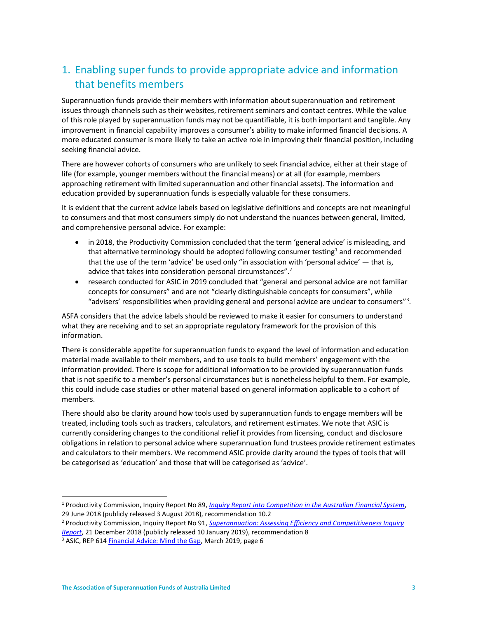## 1. Enabling super funds to provide appropriate advice and information that benefits members

Superannuation funds provide their members with information about superannuation and retirement issues through channels such as their websites, retirement seminars and contact centres. While the value of this role played by superannuation funds may not be quantifiable, it is both important and tangible. Any improvement in financial capability improves a consumer's ability to make informed financial decisions. A more educated consumer is more likely to take an active role in improving their financial position, including seeking financial advice.

There are however cohorts of consumers who are unlikely to seek financial advice, either at their stage of life (for example, younger members without the financial means) or at all (for example, members approaching retirement with limited superannuation and other financial assets). The information and education provided by superannuation funds is especially valuable for these consumers.

It is evident that the current advice labels based on legislative definitions and concepts are not meaningful to consumers and that most consumers simply do not understand the nuances between general, limited, and comprehensive personal advice. For example:

- in 2018, the Productivity Commission concluded that the term 'general advice' is misleading, and that alternative terminology should be adopted following consumer testing<sup>1</sup> and recommended that the use of the term 'advice' be used only "in association with 'personal advice' — that is, advice that takes into consideration personal circumstances".<sup>2</sup>
- research conducted for ASIC in 2019 concluded that "general and personal advice are not familiar concepts for consumers" and are not "clearly distinguishable concepts for consumers", while "advisers' responsibilities when providing general and personal advice are unclear to consumers"<sup>3</sup>.

ASFA considers that the advice labels should be reviewed to make it easier for consumers to understand what they are receiving and to set an appropriate regulatory framework for the provision of this information.

There is considerable appetite for superannuation funds to expand the level of information and education material made available to their members, and to use tools to build members' engagement with the information provided. There is scope for additional information to be provided by superannuation funds that is not specific to a member's personal circumstances but is nonetheless helpful to them. For example, this could include case studies or other material based on general information applicable to a cohort of members.

There should also be clarity around how tools used by superannuation funds to engage members will be treated, including tools such as trackers, calculators, and retirement estimates. We note that ASIC is currently considering changes to the conditional relief it provides from licensing, conduct and disclosure obligations in relation to personal advice where superannuation fund trustees provide retirement estimates and calculators to their members. We recommend ASIC provide clarity around the types of tools that will be categorised as 'education' and those that will be categorised as 'advice'.

<sup>&</sup>lt;sup>1</sup> Productivity Commission, Inquiry Report No 89, *Inquiry Report into Competition in the Australian Financial System,* 29 June 2018 (publicly released 3 August 2018), recommendation 10.2

<sup>&</sup>lt;sup>2</sup> Productivity Commission, Inquiry Report No 91, <u>Superannuation: Assessing Efficiency and Competitiveness Inquiry</u> Report, 21 December 2018 (publicly released 10 January 2019), recommendation 8

<sup>&</sup>lt;sup>3</sup> ASIC, REP 614 **Financial Advice: Mind the Gap**, March 2019, page 6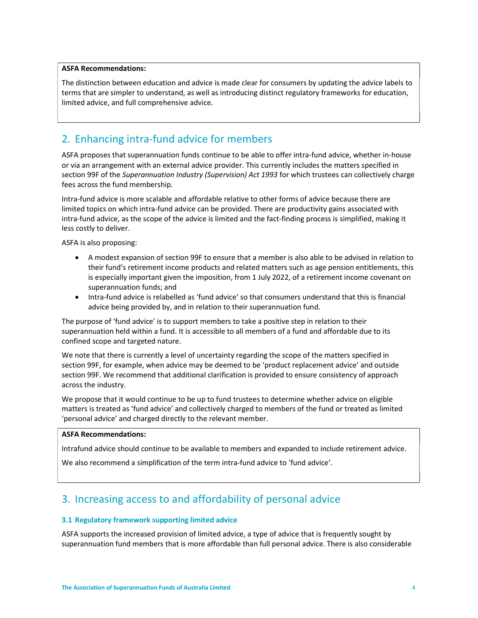## ASFA Recommendations:

The distinction between education and advice is made clear for consumers by updating the advice labels to terms that are simpler to understand, as well as introducing distinct regulatory frameworks for education, limited advice, and full comprehensive advice.

## 2. Enhancing intra-fund advice for members

ASFA proposes that superannuation funds continue to be able to offer intra-fund advice, whether in-house or via an arrangement with an external advice provider. This currently includes the matters specified in section 99F of the Superannuation Industry (Supervision) Act 1993 for which trustees can collectively charge fees across the fund membership.

Intra-fund advice is more scalable and affordable relative to other forms of advice because there are limited topics on which intra-fund advice can be provided. There are productivity gains associated with intra-fund advice, as the scope of the advice is limited and the fact-finding process is simplified, making it less costly to deliver.

ASFA is also proposing:

- A modest expansion of section 99F to ensure that a member is also able to be advised in relation to their fund's retirement income products and related matters such as age pension entitlements, this is especially important given the imposition, from 1 July 2022, of a retirement income covenant on superannuation funds; and
- Intra-fund advice is relabelled as 'fund advice' so that consumers understand that this is financial advice being provided by, and in relation to their superannuation fund.

The purpose of 'fund advice' is to support members to take a positive step in relation to their superannuation held within a fund. It is accessible to all members of a fund and affordable due to its confined scope and targeted nature.

We note that there is currently a level of uncertainty regarding the scope of the matters specified in section 99F, for example, when advice may be deemed to be 'product replacement advice' and outside section 99F. We recommend that additional clarification is provided to ensure consistency of approach across the industry.

We propose that it would continue to be up to fund trustees to determine whether advice on eligible matters is treated as 'fund advice' and collectively charged to members of the fund or treated as limited 'personal advice' and charged directly to the relevant member.

### ASFA Recommendations:

Intrafund advice should continue to be available to members and expanded to include retirement advice.

We also recommend a simplification of the term intra-fund advice to 'fund advice'.

## 3. Increasing access to and affordability of personal advice

#### 3.1 Regulatory framework supporting limited advice

ASFA supports the increased provision of limited advice, a type of advice that is frequently sought by superannuation fund members that is more affordable than full personal advice. There is also considerable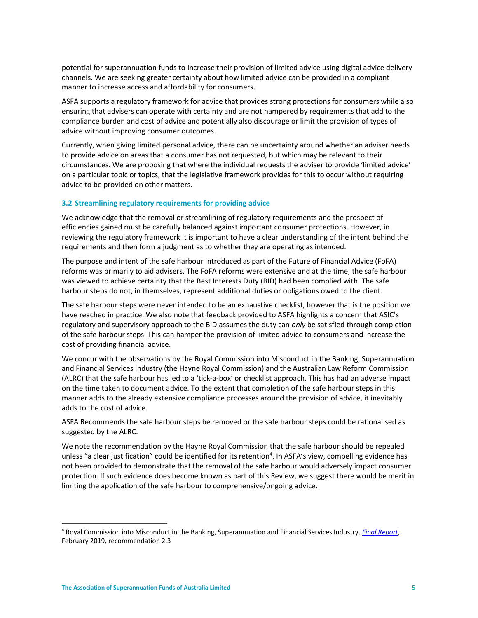potential for superannuation funds to increase their provision of limited advice using digital advice delivery channels. We are seeking greater certainty about how limited advice can be provided in a compliant manner to increase access and affordability for consumers.

ASFA supports a regulatory framework for advice that provides strong protections for consumers while also ensuring that advisers can operate with certainty and are not hampered by requirements that add to the compliance burden and cost of advice and potentially also discourage or limit the provision of types of advice without improving consumer outcomes.

Currently, when giving limited personal advice, there can be uncertainty around whether an adviser needs to provide advice on areas that a consumer has not requested, but which may be relevant to their circumstances. We are proposing that where the individual requests the adviser to provide 'limited advice' on a particular topic or topics, that the legislative framework provides for this to occur without requiring advice to be provided on other matters.

## 3.2 Streamlining regulatory requirements for providing advice

We acknowledge that the removal or streamlining of regulatory requirements and the prospect of efficiencies gained must be carefully balanced against important consumer protections. However, in reviewing the regulatory framework it is important to have a clear understanding of the intent behind the requirements and then form a judgment as to whether they are operating as intended.

The purpose and intent of the safe harbour introduced as part of the Future of Financial Advice (FoFA) reforms was primarily to aid advisers. The FoFA reforms were extensive and at the time, the safe harbour was viewed to achieve certainty that the Best Interests Duty (BID) had been complied with. The safe harbour steps do not, in themselves, represent additional duties or obligations owed to the client.

The safe harbour steps were never intended to be an exhaustive checklist, however that is the position we have reached in practice. We also note that feedback provided to ASFA highlights a concern that ASIC's regulatory and supervisory approach to the BID assumes the duty can only be satisfied through completion of the safe harbour steps. This can hamper the provision of limited advice to consumers and increase the cost of providing financial advice.

We concur with the observations by the Royal Commission into Misconduct in the Banking, Superannuation and Financial Services Industry (the Hayne Royal Commission) and the Australian Law Reform Commission (ALRC) that the safe harbour has led to a 'tick-a-box' or checklist approach. This has had an adverse impact on the time taken to document advice. To the extent that completion of the safe harbour steps in this manner adds to the already extensive compliance processes around the provision of advice, it inevitably adds to the cost of advice.

ASFA Recommends the safe harbour steps be removed or the safe harbour steps could be rationalised as suggested by the ALRC.

We note the recommendation by the Hayne Royal Commission that the safe harbour should be repealed unless "a clear justification" could be identified for its retention<sup>4</sup>. In ASFA's view, compelling evidence has not been provided to demonstrate that the removal of the safe harbour would adversely impact consumer protection. If such evidence does become known as part of this Review, we suggest there would be merit in limiting the application of the safe harbour to comprehensive/ongoing advice.

<sup>&</sup>lt;sup>4</sup> Royal Commission into Misconduct in the Banking, Superannuation and Financial Services Industry, *Final Report*, February 2019, recommendation 2.3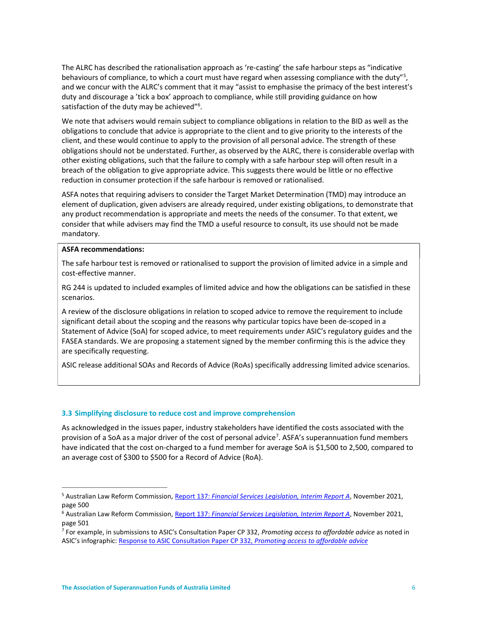The ALRC has described the rationalisation approach as 're-casting' the safe harbour steps as "indicative behaviours of compliance, to which a court must have regard when assessing compliance with the duty"<sup>5</sup>, and we concur with the ALRC's comment that it may "assist to emphasise the primacy of the best interest's duty and discourage a 'tick a box' approach to compliance, while still providing guidance on how satisfaction of the duty may be achieved"<sup>6</sup>.

We note that advisers would remain subject to compliance obligations in relation to the BID as well as the obligations to conclude that advice is appropriate to the client and to give priority to the interests of the client, and these would continue to apply to the provision of all personal advice. The strength of these obligations should not be understated. Further, as observed by the ALRC, there is considerable overlap with other existing obligations, such that the failure to comply with a safe harbour step will often result in a breach of the obligation to give appropriate advice. This suggests there would be little or no effective reduction in consumer protection if the safe harbour is removed or rationalised.

ASFA notes that requiring advisers to consider the Target Market Determination (TMD) may introduce an element of duplication, given advisers are already required, under existing obligations, to demonstrate that any product recommendation is appropriate and meets the needs of the consumer. To that extent, we consider that while advisers may find the TMD a useful resource to consult, its use should not be made mandatory.

#### ASFA recommendations:

The safe harbour test is removed or rationalised to support the provision of limited advice in a simple and cost-effective manner.

RG 244 is updated to included examples of limited advice and how the obligations can be satisfied in these scenarios.

A review of the disclosure obligations in relation to scoped advice to remove the requirement to include significant detail about the scoping and the reasons why particular topics have been de-scoped in a Statement of Advice (SoA) for scoped advice, to meet requirements under ASIC's regulatory guides and the FASEA standards. We are proposing a statement signed by the member confirming this is the advice they are specifically requesting.

ASIC release additional SOAs and Records of Advice (RoAs) specifically addressing limited advice scenarios.

## 3.3 Simplifying disclosure to reduce cost and improve comprehension

As acknowledged in the issues paper, industry stakeholders have identified the costs associated with the provision of a SoA as a major driver of the cost of personal advice<sup>7</sup>. ASFA's superannuation fund members have indicated that the cost on-charged to a fund member for average SoA is \$1,500 to 2,500, compared to an average cost of \$300 to \$500 for a Record of Advice (RoA).

<sup>&</sup>lt;sup>5</sup> Australian Law Reform Commission, <u>Report 137: Financial Services Legislation, Interim Report A</u>, November 2021, page 500

<sup>&</sup>lt;sup>6</sup> Australian Law Reform Commission, Report 137: Financial Services Legislation, Interim Report A, November 2021, page 501

<sup>&</sup>lt;sup>7</sup> For example, in submissions to ASIC's Consultation Paper CP 332, Promoting access to affordable advice as noted in ASIC's infographic: Response to ASIC Consultation Paper CP 332, Promoting access to affordable advice